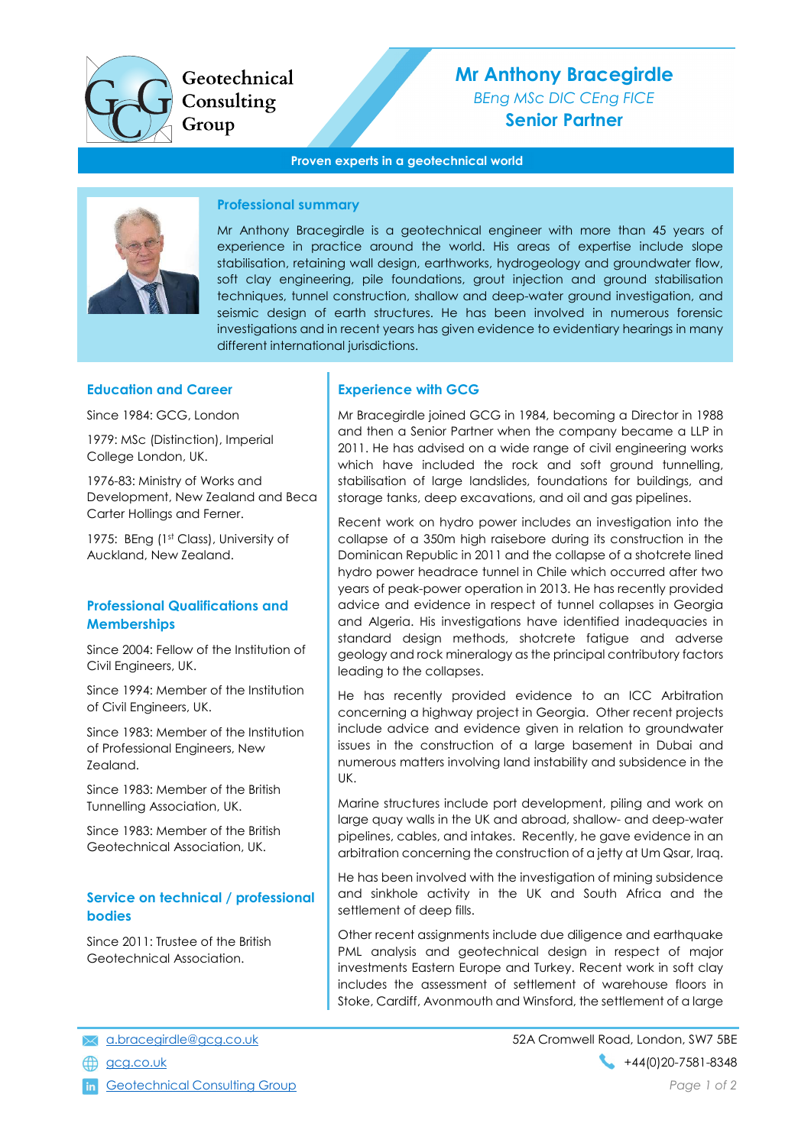

Geotechnical Consulting Group

# Mr Anthony Bracegirdle BEng MSc DIC CEng FICE Senior Partner

#### Proven experts in a geotechnical world



#### Professional summary

Mr Anthony Bracegirdle is a geotechnical engineer with more than 45 years of experience in practice around the world. His areas of expertise include slope stabilisation, retaining wall design, earthworks, hydrogeology and groundwater flow, soft clay engineering, pile foundations, grout injection and ground stabilisation techniques, tunnel construction, shallow and deep-water ground investigation, and seismic design of earth structures. He has been involved in numerous forensic investigations and in recent years has given evidence to evidentiary hearings in many different international jurisdictions.

#### Education and Career

Since 1984: GCG, London

1979: MSc (Distinction), Imperial College London, UK.

1976-83: Ministry of Works and Development, New Zealand and Beca Carter Hollings and Ferner.

1975: BEng (1st Class), University of Auckland, New Zealand.

#### Professional Qualifications and **Memberships**

Since 2004: Fellow of the Institution of Civil Engineers, UK.

Since 1994: Member of the Institution of Civil Engineers, UK.

Since 1983: Member of the Institution of Professional Engineers, New Zealand.

Since 1983: Member of the British Tunnelling Association, UK.

Since 1983: Member of the British Geotechnical Association, UK.

## Service on technical / professional bodies

Since 2011: Trustee of the British Geotechnical Association.

#### Experience with GCG

Mr Bracegirdle joined GCG in 1984, becoming a Director in 1988 and then a Senior Partner when the company became a LLP in 2011. He has advised on a wide range of civil engineering works which have included the rock and soft ground tunnelling, stabilisation of large landslides, foundations for buildings, and storage tanks, deep excavations, and oil and gas pipelines.

Recent work on hydro power includes an investigation into the collapse of a 350m high raisebore during its construction in the Dominican Republic in 2011 and the collapse of a shotcrete lined hydro power headrace tunnel in Chile which occurred after two years of peak-power operation in 2013. He has recently provided advice and evidence in respect of tunnel collapses in Georgia and Algeria. His investigations have identified inadequacies in standard design methods, shotcrete fatigue and adverse geology and rock mineralogy as the principal contributory factors leading to the collapses.

He has recently provided evidence to an ICC Arbitration concerning a highway project in Georgia. Other recent projects include advice and evidence given in relation to groundwater issues in the construction of a large basement in Dubai and numerous matters involving land instability and subsidence in the UK.

Marine structures include port development, piling and work on large quay walls in the UK and abroad, shallow- and deep-water pipelines, cables, and intakes. Recently, he gave evidence in an arbitration concerning the construction of a jetty at Um Qsar, Iraq.

He has been involved with the investigation of mining subsidence and sinkhole activity in the UK and South Africa and the settlement of deep fills.

Other recent assignments include due diligence and earthquake PML analysis and geotechnical design in respect of major investments Eastern Europe and Turkey. Recent work in soft clay includes the assessment of settlement of warehouse floors in Stoke, Cardiff, Avonmouth and Winsford, the settlement of a large

in Geotechnical Consulting Group **Page 1 of 2** and 2 and 2 and 2 and 2 and 2 and 2 and 2 and 2 and 2 and 2 and 2 and 2 and 2 and 2 and 2 and 2 and 2 and 2 and 2 and 2 and 2 and 2 and 2 and 2 and 2 and 2 and 2 and 2 and 2 a

a.bracegirdle@gcg.co.uk 52A Cromwell Road, London, SW7 5BE  $\bigoplus$  gcg.co.uk +44(0)20-7581-8348